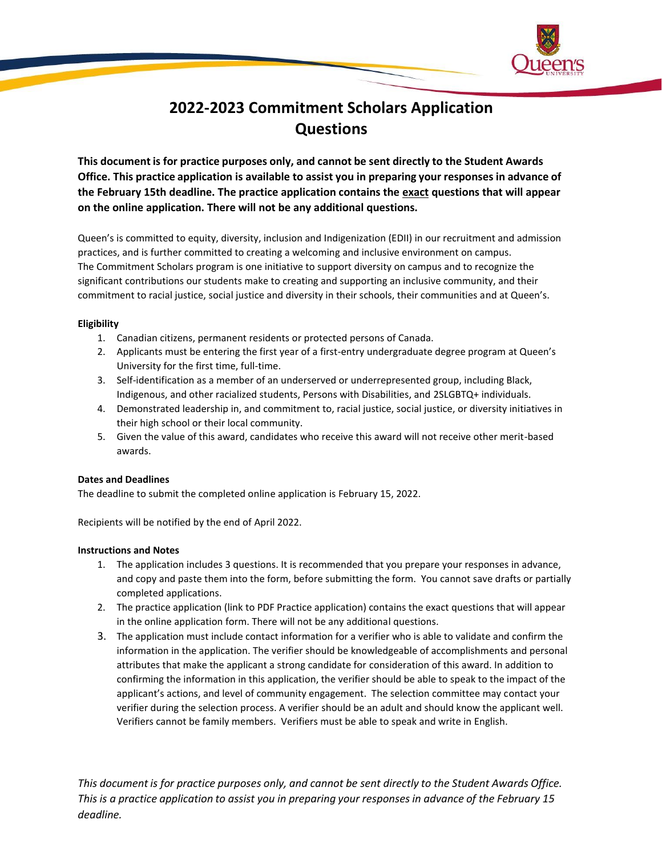

## **2022-2023 Commitment Scholars Application Questions**

**This document is for practice purposes only, and cannot be sent directly to the Student Awards Office. This practice application is available to assist you in preparing your responses in advance of the February 15th deadline. The practice application contains the exact questions that will appear on the online application. There will not be any additional questions.** 

Queen's is committed to equity, diversity, inclusion and Indigenization (EDII) in our recruitment and admission practices, and is further committed to creating a welcoming and inclusive environment on campus. The Commitment Scholars program is one initiative to support diversity on campus and to recognize the significant contributions our students make to creating and supporting an inclusive community, and their commitment to racial justice, social justice and diversity in their schools, their communities and at Queen's.

#### **Eligibility**

- 1. Canadian citizens, permanent residents or protected persons of Canada.
- 2. Applicants must be entering the first year of a first-entry undergraduate degree program at Queen's University for the first time, full-time.
- 3. Self-identification as a member of an underserved or underrepresented group, including Black, Indigenous, and other racialized students, Persons with Disabilities, and 2SLGBTQ+ individuals.
- 4. Demonstrated leadership in, and commitment to, racial justice, social justice, or diversity initiatives in their high school or their local community.
- 5. Given the value of this award, candidates who receive this award will not receive other merit-based awards.

#### **Dates and Deadlines**

The deadline to submit the completed online application is February 15, 2022.

Recipients will be notified by the end of April 2022.

#### **Instructions and Notes**

- 1. The application includes 3 questions. It is recommended that you prepare your responses in advance, and copy and paste them into the form, before submitting the form. You cannot save drafts or partially completed applications.
- 2. The practice application (link to PDF Practice application) contains the exact questions that will appear in the online application form. There will not be any additional questions.
- 3. The application must include contact information for a verifier who is able to validate and confirm the information in the application. The verifier should be knowledgeable of accomplishments and personal attributes that make the applicant a strong candidate for consideration of this award. In addition to confirming the information in this application, the verifier should be able to speak to the impact of the applicant's actions, and level of community engagement. The selection committee may contact your verifier during the selection process. A verifier should be an adult and should know the applicant well. Verifiers cannot be family members. Verifiers must be able to speak and write in English.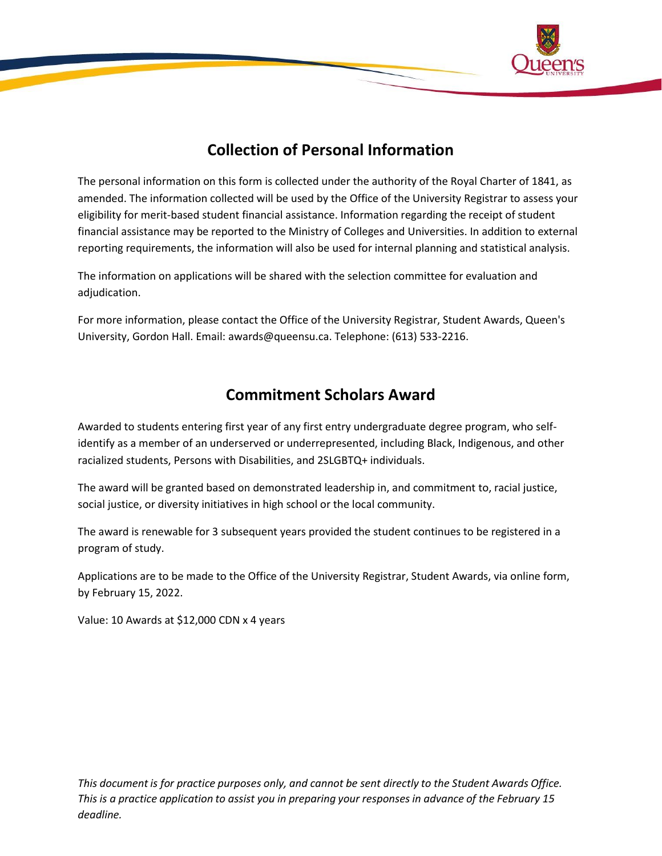

## **Collection of Personal Information**

The personal information on this form is collected under the authority of the Royal Charter of 1841, as amended. The information collected will be used by the Office of the University Registrar to assess your eligibility for merit-based student financial assistance. Information regarding the receipt of student financial assistance may be reported to the Ministry of Colleges and Universities. In addition to external reporting requirements, the information will also be used for internal planning and statistical analysis.

The information on applications will be shared with the selection committee for evaluation and adjudication.

For more information, please contact the Office of the University Registrar, Student Awards, Queen's University, Gordon Hall. Email: awards@queensu.ca. Telephone: (613) 533-2216.

### **Commitment Scholars Award**

Awarded to students entering first year of any first entry undergraduate degree program, who selfidentify as a member of an underserved or underrepresented, including Black, Indigenous, and other racialized students, Persons with Disabilities, and 2SLGBTQ+ individuals.

The award will be granted based on demonstrated leadership in, and commitment to, racial justice, social justice, or diversity initiatives in high school or the local community.

The award is renewable for 3 subsequent years provided the student continues to be registered in a program of study.

Applications are to be made to the Office of the University Registrar, Student Awards, via online form, by February 15, 2022.

Value: 10 Awards at \$12,000 CDN x 4 years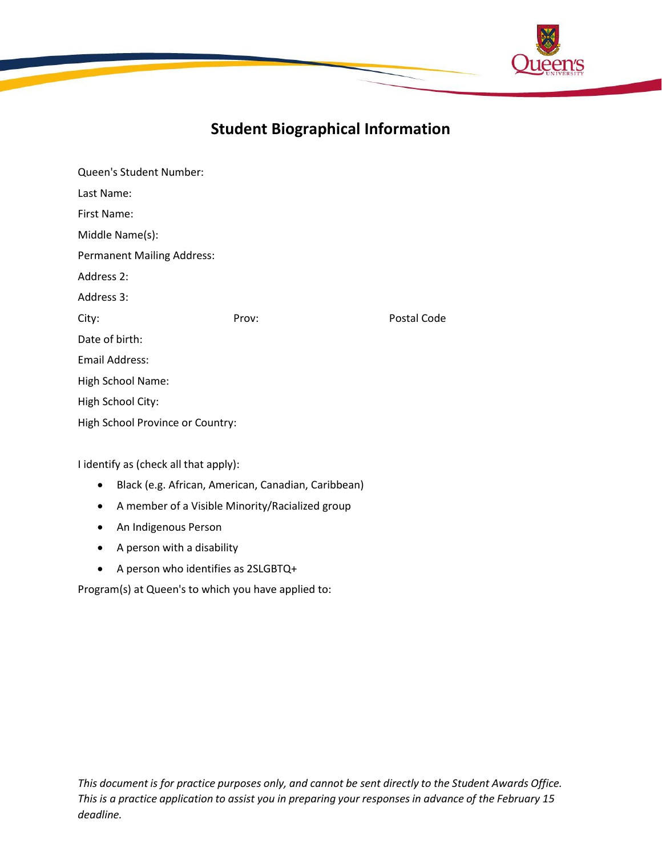

# **Student Biographical Information**

| Queen's Student Number:               |       |             |  |  |
|---------------------------------------|-------|-------------|--|--|
| Last Name:                            |       |             |  |  |
| First Name:                           |       |             |  |  |
| Middle Name(s):                       |       |             |  |  |
| <b>Permanent Mailing Address:</b>     |       |             |  |  |
| Address 2:                            |       |             |  |  |
| Address 3:                            |       |             |  |  |
| City:                                 | Prov: | Postal Code |  |  |
| Date of birth:                        |       |             |  |  |
| <b>Email Address:</b>                 |       |             |  |  |
| High School Name:                     |       |             |  |  |
| High School City:                     |       |             |  |  |
| High School Province or Country:      |       |             |  |  |
|                                       |       |             |  |  |
| I identify as (check all that apply): |       |             |  |  |

• Black (e.g. African, American, Canadian, Caribbean)

- A member of a Visible Minority/Racialized group
- An Indigenous Person
- A person with a disability
- A person who identifies as 2SLGBTQ+

Program(s) at Queen's to which you have applied to: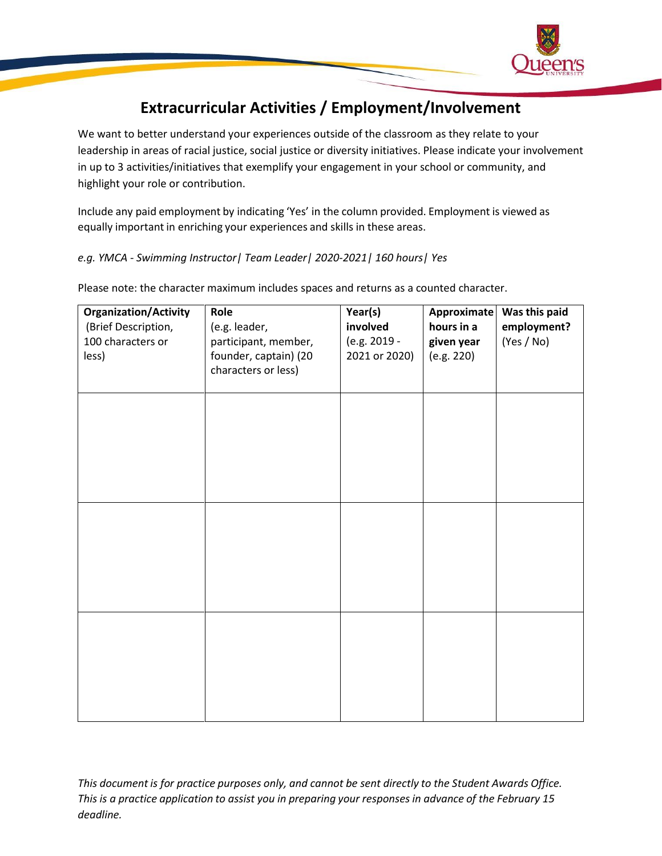

# **Extracurricular Activities / Employment/Involvement**

We want to better understand your experiences outside of the classroom as they relate to your leadership in areas of racial justice, social justice or diversity initiatives. Please indicate your involvement in up to 3 activities/initiatives that exemplify your engagement in your school or community, and highlight your role or contribution.

Include any paid employment by indicating 'Yes' in the column provided. Employment is viewed as equally important in enriching your experiences and skills in these areas.

*e.g. YMCA - Swimming Instructor| Team Leader| 2020-2021| 160 hours| Yes*

| <b>Organization/Activity</b> | Role                  | Year(s)       | Approximate | Was this paid |
|------------------------------|-----------------------|---------------|-------------|---------------|
| (Brief Description,          | (e.g. leader,         | involved      | hours in a  | employment?   |
| 100 characters or            | participant, member,  | (e.g. 2019 -  | given year  | (Yes / No)    |
| less)                        | founder, captain) (20 | 2021 or 2020) | (e.g. 220)  |               |
|                              | characters or less)   |               |             |               |
|                              |                       |               |             |               |
|                              |                       |               |             |               |
|                              |                       |               |             |               |
|                              |                       |               |             |               |
|                              |                       |               |             |               |
|                              |                       |               |             |               |
|                              |                       |               |             |               |
|                              |                       |               |             |               |
|                              |                       |               |             |               |
|                              |                       |               |             |               |
|                              |                       |               |             |               |
|                              |                       |               |             |               |
|                              |                       |               |             |               |
|                              |                       |               |             |               |
|                              |                       |               |             |               |
|                              |                       |               |             |               |
|                              |                       |               |             |               |
|                              |                       |               |             |               |
|                              |                       |               |             |               |
|                              |                       |               |             |               |
|                              |                       |               |             |               |
|                              |                       |               |             |               |

Please note: the character maximum includes spaces and returns as a counted character.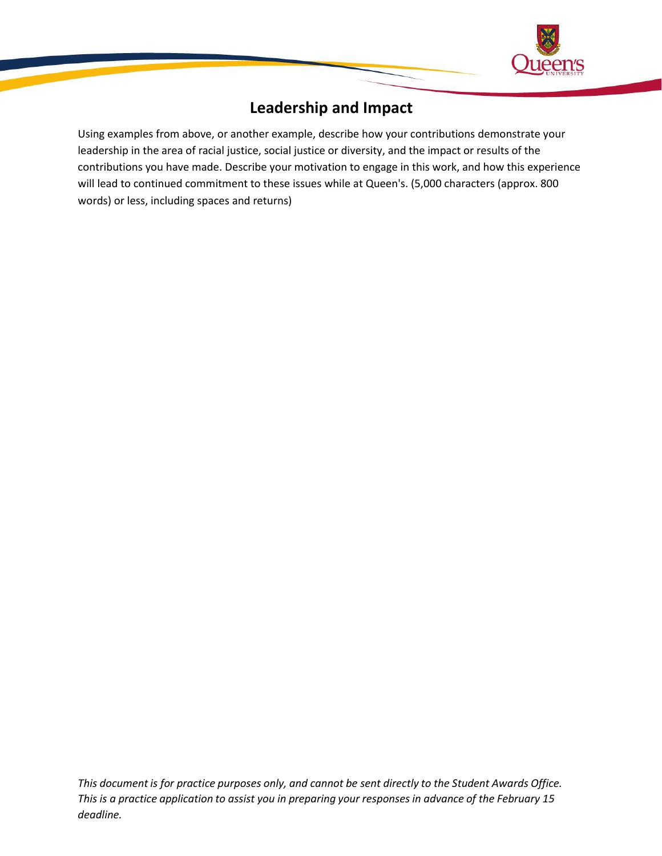

## **Leadership and Impact**

Using examples from above, or another example, describe how your contributions demonstrate your leadership in the area of racial justice, social justice or diversity, and the impact or results of the contributions you have made. Describe your motivation to engage in this work, and how this experience will lead to continued commitment to these issues while at Queen's. (5,000 characters (approx. 800 words) or less, including spaces and returns)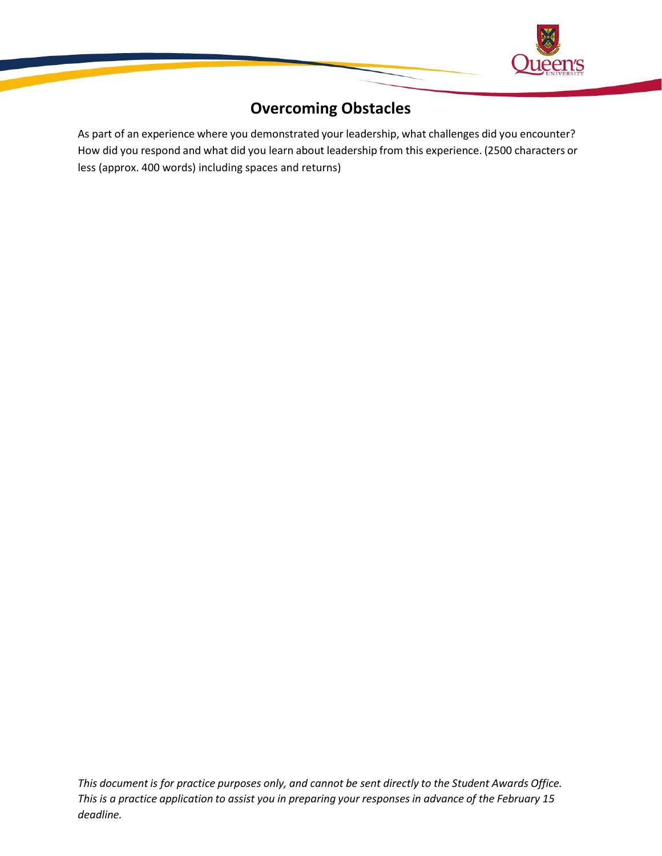

## **Overcoming Obstacles**

As part of an experience where you demonstrated your leadership, what challenges did you encounter? How did you respond and what did you learn about leadership from this experience. (2500 characters or less (approx. 400 words) including spaces and returns)